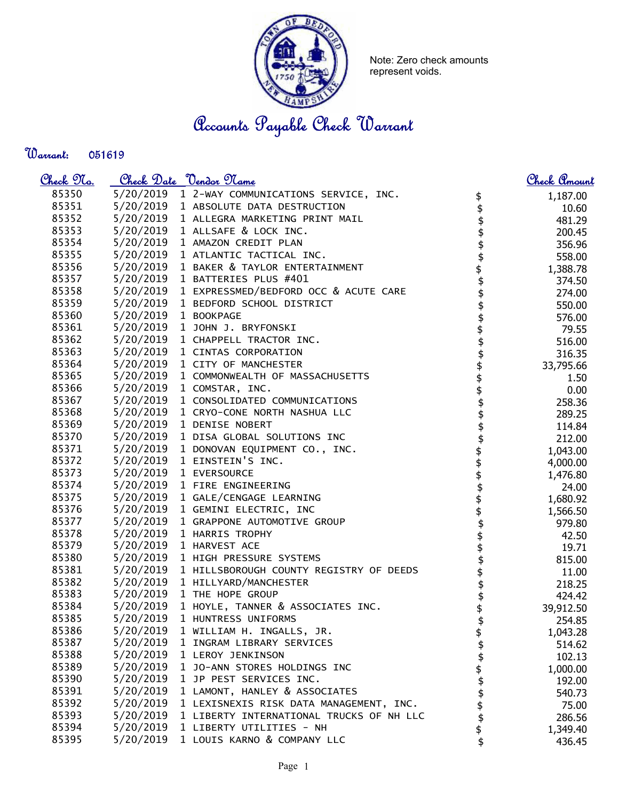

Note: Zero check amounts represent voids.

Accounts Payable Check Warrant

Warrant: 

| <u>Check 97a.</u> |                      | Check Date <u>Vendor Name</u>                     |                    | <u>Check Amount</u> |
|-------------------|----------------------|---------------------------------------------------|--------------------|---------------------|
| 85350             |                      | 5/20/2019 1 2-WAY COMMUNICATIONS SERVICE, INC.    |                    | 1,187.00            |
| 85351             |                      | 5/20/2019 1 ABSOLUTE DATA DESTRUCTION             | \$<br>\$           | 10.60               |
| 85352             |                      | 5/20/2019 1 ALLEGRA MARKETING PRINT MAIL          | \$                 | 481.29              |
| 85353             |                      | 5/20/2019 1 ALLSAFE & LOCK INC.                   | \$                 | 200.45              |
| 85354             |                      | 5/20/2019 1 AMAZON CREDIT PLAN                    |                    | 356.96              |
| 85355             |                      | 5/20/2019 1 ATLANTIC TACTICAL INC.                |                    | 558.00              |
| 85356             |                      | 5/20/2019 1 BAKER & TAYLOR ENTERTAINMENT          |                    | 1,388.78            |
| 85357             |                      | 5/20/2019 1 BATTERIES PLUS #401                   | \$\$\$\$\$         | 374.50              |
| 85358             |                      | 5/20/2019 1 EXPRESSMED/BEDFORD OCC & ACUTE CARE   |                    | 274.00              |
| 85359             |                      | 5/20/2019 1 BEDFORD SCHOOL DISTRICT               |                    | 550.00              |
| 85360             | 5/20/2019 1 BOOKPAGE |                                                   |                    | 576.00              |
| 85361             |                      | 5/20/2019 1 JOHN J. BRYFONSKI                     |                    | 79.55               |
| 85362             |                      | 5/20/2019 1 CHAPPELL TRACTOR INC.                 |                    | 516.00              |
| 85363             |                      | 5/20/2019 1 CINTAS CORPORATION                    |                    | 316.35              |
| 85364             |                      | 5/20/2019 1 CITY OF MANCHESTER                    |                    | 33,795.66           |
| 85365             |                      | 5/20/2019 1 COMMONWEALTH OF MASSACHUSETTS         |                    | 1.50                |
| 85366             |                      | 5/20/2019 1 COMSTAR, INC.                         | \$\$\$\$\$         | 0.00                |
| 85367             |                      | 5/20/2019 1 CONSOLIDATED COMMUNICATIONS           |                    | 258.36              |
| 85368             |                      | 5/20/2019 1 CRYO-CONE NORTH NASHUA LLC            | \$                 | 289.25              |
| 85369             |                      | 5/20/2019 1 DENISE NOBERT                         |                    | 114.84              |
| 85370             |                      | 5/20/2019 1 DISA GLOBAL SOLUTIONS INC             |                    | 212.00              |
| 85371             |                      | 5/20/2019 1 DONOVAN EQUIPMENT CO., INC.           |                    | 1,043.00            |
| 85372             |                      | 5/20/2019 1 EINSTEIN'S INC.                       | \$\$\$\$\$\$\$\$\$ | 4,000.00            |
| 85373             |                      | 5/20/2019 1 EVERSOURCE                            |                    | 1,476.80            |
| 85374             |                      | 5/20/2019 1 FIRE ENGINEERING                      |                    | 24.00               |
| 85375             |                      | 5/20/2019 1 GALE/CENGAGE LEARNING                 |                    | 1,680.92            |
| 85376             |                      | 5/20/2019 1 GEMINI ELECTRIC, INC                  |                    | 1,566.50            |
| 85377             |                      | 5/20/2019 1 GRAPPONE AUTOMOTIVE GROUP             |                    | 979.80              |
| 85378             |                      | 5/20/2019 1 HARRIS TROPHY                         |                    | 42.50               |
| 85379             |                      | 5/20/2019 1 HARVEST ACE                           |                    | 19.71               |
| 85380             |                      | 5/20/2019 1 HIGH PRESSURE SYSTEMS                 | \$<br>\$           | 815.00              |
| 85381             |                      | 5/20/2019 1 HILLSBOROUGH COUNTY REGISTRY OF DEEDS |                    | 11.00               |
| 85382             |                      | 5/20/2019 1 HILLYARD/MANCHESTER                   |                    | 218.25              |
| 85383             |                      | 5/20/2019 1 THE HOPE GROUP                        |                    | 424.42              |
| 85384             |                      | 5/20/2019 1 HOYLE, TANNER & ASSOCIATES INC.       | \$\$\$             | 39,912.50           |
| 85385             | 5/20/2019            | 1 HUNTRESS UNIFORMS                               |                    | 254.85              |
| 85386             | 5/20/2019            | 1 WILLIAM H. INGALLS, JR.                         |                    | 1,043.28            |
| 85387             | 5/20/2019            | 1 INGRAM LIBRARY SERVICES                         | $\frac{6}{9}$      | 514.62              |
| 85388             | 5/20/2019            | 1 LEROY JENKINSON                                 |                    | 102.13              |
| 85389             | 5/20/2019            | 1 JO-ANN STORES HOLDINGS INC                      |                    | 1,000.00            |
| 85390             | 5/20/2019            | 1 JP PEST SERVICES INC.                           |                    | 192.00              |
| 85391             | 5/20/2019            | 1 LAMONT, HANLEY & ASSOCIATES                     | \$\$\$\$\$\$       | 540.73              |
| 85392             | 5/20/2019            | 1 LEXISNEXIS RISK DATA MANAGEMENT, INC.           |                    | 75.00               |
| 85393             | 5/20/2019            | 1 LIBERTY INTERNATIONAL TRUCKS OF NH LLC          |                    | 286.56              |
| 85394             | 5/20/2019            | 1 LIBERTY UTILITIES - NH                          | \$                 | 1,349.40            |
| 85395             | 5/20/2019            | 1 LOUIS KARNO & COMPANY LLC                       | \$                 | 436.45              |